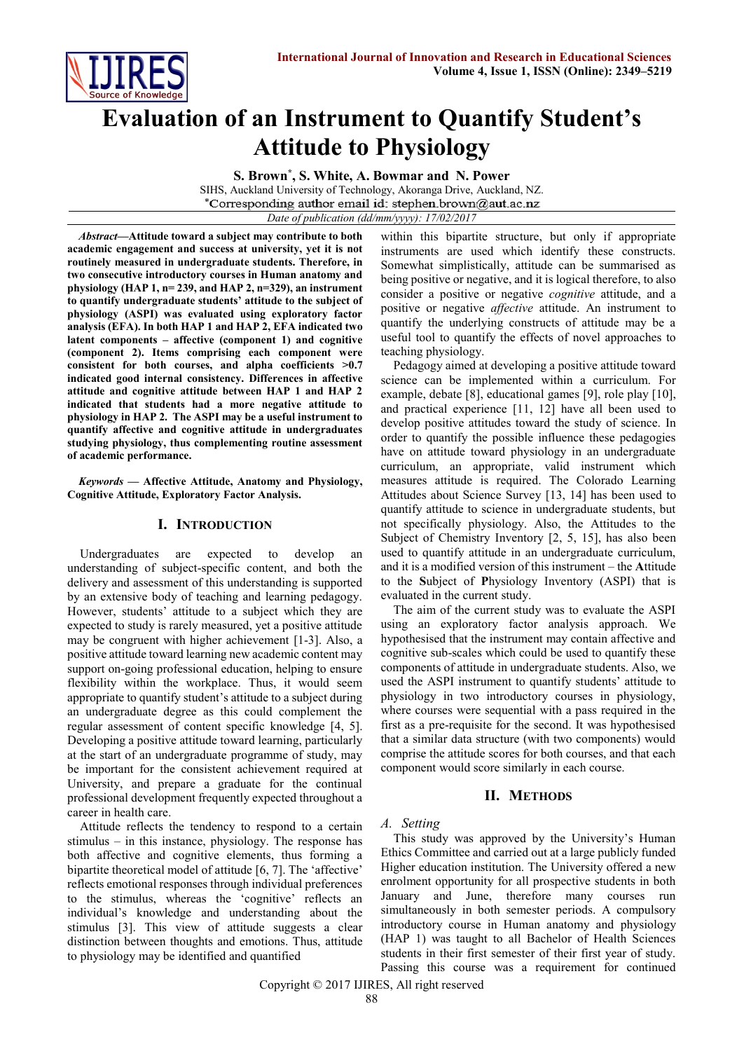

# **Evaluation of an Instrument to Quantify Student's Attitude to Physiology**

**S. Brown\* , S. White, A. Bowmar and N. Power**

SIHS, Auckland University of Technology, Akoranga Drive, Auckland, NZ.<br>\*Corresponding author email id: stephen.brown@aut.ac.nz

*Date of publication (dd/mm/yyyy): 17/02/2017*

*Abstract***—Attitude toward a subject may contribute to both academic engagement and success at university, yet it is not routinely measured in undergraduate students. Therefore, in two consecutive introductory courses in Human anatomy and physiology (HAP 1, n= 239, and HAP 2, n=329), an instrument to quantify undergraduate students' attitude to the subject of physiology (ASPI) was evaluated using exploratory factor analysis (EFA). In both HAP 1 and HAP 2, EFA indicated two latent components – affective (component 1) and cognitive (component 2). Items comprising each component were consistent for both courses, and alpha coefficients >0.7 indicated good internal consistency. Differences in affective attitude and cognitive attitude between HAP 1 and HAP 2 indicated that students had a more negative attitude to physiology in HAP 2. The ASPI may be a useful instrument to quantify affective and cognitive attitude in undergraduates studying physiology, thus complementing routine assessment of academic performance.** 

*Keywords* **— Affective Attitude, Anatomy and Physiology, Cognitive Attitude, Exploratory Factor Analysis.**

#### **I. INTRODUCTION**

Undergraduates are expected to develop an understanding of subject-specific content, and both the delivery and assessment of this understanding is supported by an extensive body of teaching and learning pedagogy. However, students' attitude to a subject which they are expected to study is rarely measured, yet a positive attitude may be congruent with higher achievement [1-3]. Also, a positive attitude toward learning new academic content may support on-going professional education, helping to ensure flexibility within the workplace. Thus, it would seem appropriate to quantify student's attitude to a subject during an undergraduate degree as this could complement the regular assessment of content specific knowledge [4, 5]. Developing a positive attitude toward learning, particularly at the start of an undergraduate programme of study, may be important for the consistent achievement required at University, and prepare a graduate for the continual professional development frequently expected throughout a career in health care.

Attitude reflects the tendency to respond to a certain stimulus – in this instance, physiology. The response has both affective and cognitive elements, thus forming a bipartite theoretical model of attitude [6, 7]. The 'affective' reflects emotional responses through individual preferences to the stimulus, whereas the 'cognitive' reflects an individual's knowledge and understanding about the stimulus [3]. This view of attitude suggests a clear distinction between thoughts and emotions. Thus, attitude to physiology may be identified and quantified

within this bipartite structure, but only if appropriate instruments are used which identify these constructs. Somewhat simplistically, attitude can be summarised as being positive or negative, and it is logical therefore, to also consider a positive or negative *cognitive* attitude, and a positive or negative *affective* attitude. An instrument to quantify the underlying constructs of attitude may be a useful tool to quantify the effects of novel approaches to teaching physiology.

Pedagogy aimed at developing a positive attitude toward science can be implemented within a curriculum. For example, debate [8], educational games [9], role play [10], and practical experience [11, 12] have all been used to develop positive attitudes toward the study of science. In order to quantify the possible influence these pedagogies have on attitude toward physiology in an undergraduate curriculum, an appropriate, valid instrument which measures attitude is required. The Colorado Learning Attitudes about Science Survey [13, 14] has been used to quantify attitude to science in undergraduate students, but not specifically physiology. Also, the Attitudes to the Subject of Chemistry Inventory [2, 5, 15], has also been used to quantify attitude in an undergraduate curriculum, and it is a modified version of this instrument – the **A**ttitude to the **S**ubject of **P**hysiology Inventory (ASPI) that is evaluated in the current study.

The aim of the current study was to evaluate the ASPI using an exploratory factor analysis approach. We hypothesised that the instrument may contain affective and cognitive sub-scales which could be used to quantify these components of attitude in undergraduate students. Also, we used the ASPI instrument to quantify students' attitude to physiology in two introductory courses in physiology, where courses were sequential with a pass required in the first as a pre-requisite for the second. It was hypothesised that a similar data structure (with two components) would comprise the attitude scores for both courses, and that each component would score similarly in each course.

# **II. METHODS**

#### *A. Setting*

This study was approved by the University's Human Ethics Committee and carried out at a large publicly funded Higher education institution. The University offered a new enrolment opportunity for all prospective students in both January and June, therefore many courses run simultaneously in both semester periods. A compulsory introductory course in Human anatomy and physiology (HAP 1) was taught to all Bachelor of Health Sciences students in their first semester of their first year of study. Passing this course was a requirement for continued

Copyright © 2017 IJIRES, All right reserved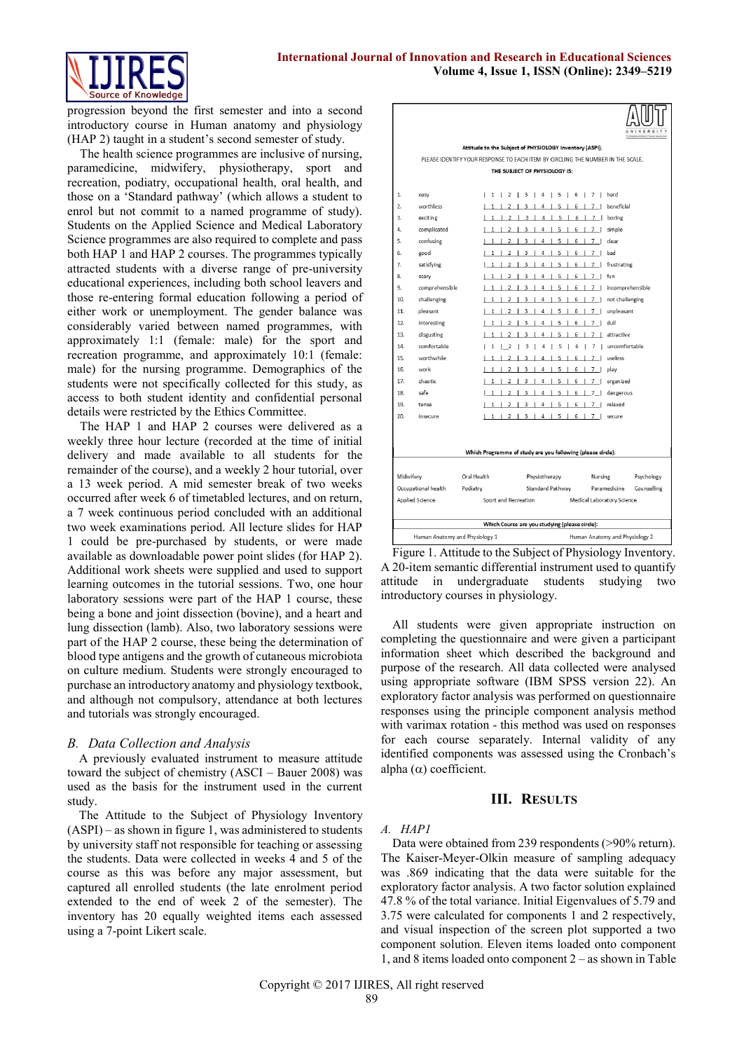#### **International Journal of Innovation and Research in Educational Sciences Volume 4, Issue 1, ISSN (Online): 2349–5219**



progression beyond the first semester and into a second introductory course in Human anatomy and physiology (HAP 2) taught in a student's second semester of study.

The health science programmes are inclusive of nursing, paramedicine, midwifery, physiotherapy, sport and recreation, podiatry, occupational health, oral health, and those on a 'Standard pathway' (which allows a student to enrol but not commit to a named programme of study). Students on the Applied Science and Medical Laboratory Science programmes are also required to complete and pass both HAP 1 and HAP 2 courses. The programmes typically attracted students with a diverse range of pre-university educational experiences, including both school leavers and those re-entering formal education following a period of either work or unemployment. The gender balance was considerably varied between named programmes, with approximately 1:1 (female: male) for the sport and recreation programme, and approximately 10:1 (female: male) for the nursing programme. Demographics of the students were not specifically collected for this study, as access to both student identity and confidential personal details were restricted by the Ethics Committee.

The HAP 1 and HAP 2 courses were delivered as a weekly three hour lecture (recorded at the time of initial delivery and made available to all students for the remainder of the course), and a weekly 2 hour tutorial, over a 13 week period. A mid semester break of two weeks occurred after week 6 of timetabled lectures, and on return, a 7 week continuous period concluded with an additional two week examinations period. All lecture slides for HAP 1 could be pre-purchased by students, or were made available as downloadable power point slides (for HAP 2). Additional work sheets were supplied and used to support learning outcomes in the tutorial sessions. Two, one hour laboratory sessions were part of the HAP 1 course, these being a bone and joint dissection (bovine), and a heart and lung dissection (lamb). Also, two laboratory sessions were part of the HAP 2 course, these being the determination of blood type antigens and the growth of cutaneous microbiota on culture medium. Students were strongly encouraged to purchase an introductory anatomy and physiology textbook, and although not compulsory, attendance at both lectures and tutorials was strongly encouraged.

# *B. Data Collection and Analysis*

A previously evaluated instrument to measure attitude toward the subject of chemistry (ASCI – Bauer 2008) was used as the basis for the instrument used in the current study.

The Attitude to the Subject of Physiology Inventory (ASPI) – as shown in figure 1, was administered to students by university staff not responsible for teaching or assessing the students. Data were collected in weeks 4 and 5 of the course as this was before any major assessment, but captured all enrolled students (the late enrolment period extended to the end of week 2 of the semester). The inventory has 20 equally weighted items each assessed using a 7-point Likert scale.

|                     |                                                                  | Attitude to the Subject of PHYSIOLOGY Inventory (ASPI).                         |                                                             |                            |                               |
|---------------------|------------------------------------------------------------------|---------------------------------------------------------------------------------|-------------------------------------------------------------|----------------------------|-------------------------------|
|                     |                                                                  | PLEASE IDENTIFY YOUR RESPONSE TO EACH ITEM BY CIRCLING THE NUMBER IN THE SCALE. |                                                             |                            |                               |
|                     |                                                                  |                                                                                 | THE SUBJECT OF PHYSIOLOGY IS:                               |                            |                               |
|                     |                                                                  |                                                                                 |                                                             |                            |                               |
| 1.                  | easy                                                             | 11                                                                              | 2   3   4   5   6   7   hard                                |                            |                               |
| 2.                  | worthless                                                        | $1\quad1$<br>$\overline{2}$                                                     | 3   4   5   6   7   beneficial<br>$\mathbf{I}$              |                            |                               |
| 3.                  | exciting                                                         |                                                                                 | 1   2   3   4   5   6   7   boring                          |                            |                               |
| 4.                  | complicated                                                      |                                                                                 | $1 1 2 3 4 5 6 7$ simple                                    |                            |                               |
| 5.                  | confusing                                                        |                                                                                 | 1   2   3   4   5   6   7   dear                            |                            |                               |
| б.                  | good                                                             |                                                                                 | 1   2   3   4   5   6   7   bad                             |                            |                               |
| 7.                  | satisfying                                                       |                                                                                 | $1 1 2 3 4 5 6 7$ frustrating                               |                            |                               |
| 8.                  | scary                                                            | $1\quad1$<br>2                                                                  | 3   4   5   6   7   fun                                     |                            |                               |
| 9.                  | comprehensible                                                   |                                                                                 | 1   2   3   4   5   6   7   incomprehensible                |                            |                               |
| 10.                 | challenging                                                      | $1\quad1$<br>$\overline{2}$                                                     | 3   4   5   6   7   not challenging                         |                            |                               |
| 11.                 | pleasant                                                         | 2                                                                               | $\overline{\mathbf{3}}$                                     | 4   5   6   7   unpleasant |                               |
| 12.                 | interesting                                                      | 2                                                                               | $3 \mid$                                                    | 4   5   6   7   dull       |                               |
| 13.                 | disgusting                                                       | 1<br>2                                                                          | 3<br>4<br>5 <sub>1</sub><br>J.                              | 6   7   attractive         |                               |
| 14.                 | comfortable                                                      | 2<br>$1 \quad$                                                                  | 3<br>- 11<br>$\mathbf{I}$                                   |                            | 4   5   6   7   uncomfortable |
| 15.                 | worthwhile                                                       | $\overline{2}$                                                                  | $\overline{4}$<br>3<br>л.                                   | 5   6   7   useless        |                               |
| 16.                 | work                                                             | $\overline{2}$                                                                  | 3   4   5   6   7   play<br>-1                              |                            |                               |
| 17.                 | chaotic.                                                         | 1 <sup>1</sup><br>2                                                             | 3   4   5   6   7   organized<br>- 1                        |                            |                               |
| 18.                 | safe                                                             | $1 \quad$<br>$\overline{2}$                                                     | 3   4   5   6   7   dangerous<br>- 1                        |                            |                               |
| 19.                 | tense                                                            |                                                                                 | 1   2   3   4   5   6   7   relaxed                         |                            |                               |
| 20.                 | in secure                                                        |                                                                                 | 1   2   3   4   5   6   7   secure                          |                            |                               |
|                     |                                                                  |                                                                                 |                                                             |                            |                               |
|                     |                                                                  |                                                                                 |                                                             |                            |                               |
|                     |                                                                  |                                                                                 | Which Programme of study are you following (please circle): |                            |                               |
|                     |                                                                  |                                                                                 |                                                             |                            |                               |
|                     | Midwifery<br>Oral Health<br>Physiotherapy                        |                                                                                 |                                                             | Nursing                    | Psychology                    |
| Occupational health |                                                                  | Podiatry                                                                        | Standard Pathway                                            |                            | Paramedicine<br>Counselling   |
|                     | Applied Science                                                  | Sport and Recreation                                                            |                                                             | Medical Laboratory Science |                               |
|                     |                                                                  |                                                                                 |                                                             |                            |                               |
|                     | Which Course are you studying (please circle):                   |                                                                                 |                                                             |                            |                               |
|                     | Human Anatomy and Physiology 1<br>Human Anatomy and Physiology 2 |                                                                                 |                                                             |                            |                               |

Figure 1. Attitude to the Subject of Physiology Inventory. A 20-item semantic differential instrument used to quantify attitude in undergraduate students studying two introductory courses in physiology.

All students were given appropriate instruction on completing the questionnaire and were given a participant information sheet which described the background and purpose of the research. All data collected were analysed using appropriate software (IBM SPSS version 22). An exploratory factor analysis was performed on questionnaire responses using the principle component analysis method with varimax rotation - this method was used on responses for each course separately. Internal validity of any identified components was assessed using the Cronbach's alpha  $(\alpha)$  coefficient.

#### **III. RESULTS**

#### *A. HAP1*

Data were obtained from 239 respondents (>90% return). The Kaiser-Meyer-Olkin measure of sampling adequacy was .869 indicating that the data were suitable for the exploratory factor analysis. A two factor solution explained 47.8 % of the total variance. Initial Eigenvalues of 5.79 and 3.75 were calculated for components 1 and 2 respectively, and visual inspection of the screen plot supported a two component solution. Eleven items loaded onto component 1, and 8 items loaded onto component 2 – as shown in Table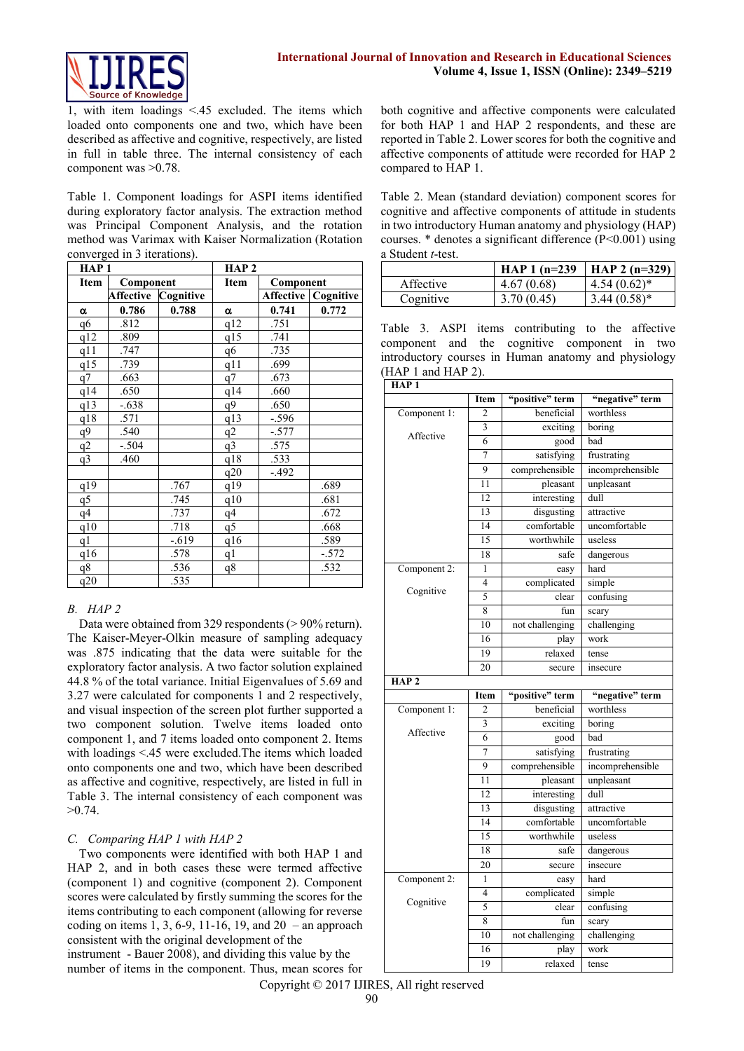

1, with item loadings <.45 excluded. The items which loaded onto components one and two, which have been described as affective and cognitive, respectively, are listed in full in table three. The internal consistency of each component was >0.78.

Table 1. Component loadings for ASPI items identified during exploratory factor analysis. The extraction method was Principal Component Analysis, and the rotation method was Varimax with Kaiser Normalization (Rotation converged in 3 iterations).

| HAP <sub>1</sub> |                  |           | HAP <sub>2</sub> |                  |           |
|------------------|------------------|-----------|------------------|------------------|-----------|
| <b>Item</b>      | Component        |           | Item             | Component        |           |
|                  | <b>Affective</b> | Cognitive |                  | <b>Affective</b> | Cognitive |
| α                | 0.786            | 0.788     | α                | 0.741            | 0.772     |
| q6               | .812             |           | q12              | .751             |           |
| q12              | .809             |           | q15              | .741             |           |
| q11              | .747             |           | q6               | .735             |           |
| q15              | .739             |           | $q1\bar{1}$      | .699             |           |
| q7               | .663             |           | q7               | .673             |           |
| q14              | .650             |           | q14              | .660             |           |
| q13              | $-.638$          |           | q9               | .650             |           |
| q18              | .571             |           | q13              | $-.596$          |           |
| q9               | .540             |           | q2               | $-.577$          |           |
| q2               | $-.504$          |           | q3               | .575             |           |
| q <sup>3</sup>   | .460             |           | q18              | .533             |           |
|                  |                  |           | q20              | $-.492$          |           |
| q19              |                  | .767      | q19              |                  | .689      |
| q5               |                  | .745      | q10              |                  | .681      |
| q <sub>4</sub>   |                  | .737      | q4               |                  | .672      |
| q10              |                  | .718      | $q\overline{5}$  |                  | .668      |
| q1               |                  | $-.619$   | q16              |                  | .589      |
| q16              |                  | .578      | q <sub>1</sub>   |                  | $-.572$   |
| q8               |                  | .536      | q8               |                  | .532      |
| q20              |                  | .535      |                  |                  |           |

# *B. HAP 2*

Data were obtained from 329 respondents (> 90% return). The Kaiser-Meyer-Olkin measure of sampling adequacy was .875 indicating that the data were suitable for the exploratory factor analysis. A two factor solution explained 44.8 % of the total variance. Initial Eigenvalues of 5.69 and 3.27 were calculated for components 1 and 2 respectively, and visual inspection of the screen plot further supported a two component solution. Twelve items loaded onto component 1, and 7 items loaded onto component 2. Items with loadings <.45 were excluded.The items which loaded onto components one and two, which have been described as affective and cognitive, respectively, are listed in full in Table 3. The internal consistency of each component was >0.74.

#### *C. Comparing HAP 1 with HAP 2*

Two components were identified with both HAP 1 and HAP 2, and in both cases these were termed affective (component 1) and cognitive (component 2). Component scores were calculated by firstly summing the scores for the items contributing to each component (allowing for reverse coding on items 1, 3, 6-9, 11-16, 19, and  $20 -$ an approach consistent with the original development of the instrument - Bauer 2008), and dividing this value by the number of items in the component. Thus, mean scores for

both cognitive and affective components were calculated for both HAP 1 and HAP 2 respondents, and these are reported in Table 2. Lower scores for both the cognitive and affective components of attitude were recorded for HAP 2 compared to HAP 1.

Table 2. Mean (standard deviation) component scores for cognitive and affective components of attitude in students in two introductory Human anatomy and physiology (HAP) courses.  $*$  denotes a significant difference ( $P \le 0.001$ ) using a Student *t*-test.

|           | HAP $1(n=239)$ | HAP 2 $(n=329)$  |
|-----------|----------------|------------------|
| Affective | 4.67(0.68)     | $4.54(0.62)^{*}$ |
| Cognitive | 3.70(0.45)     | $3.44(0.58)*$    |

Table 3. ASPI items contributing to the affective component and the cognitive component in two introductory courses in Human anatomy and physiology (HAP 1 and HAP 2).

| HAP <sub>1</sub> |                         |                 |                  |
|------------------|-------------------------|-----------------|------------------|
|                  | Item                    | "positive" term | "negative" term  |
| Component 1:     | 2                       | beneficial      | worthless        |
|                  | $\overline{\mathbf{3}}$ | exciting        | boring           |
| Affective        | 6                       | good            | bad              |
|                  | 7                       | satisfying      | frustrating      |
|                  | 9                       | comprehensible  | incomprehensible |
|                  | 11                      | pleasant        | unpleasant       |
|                  | 12                      | interesting     | dull             |
|                  | 13                      | disgusting      | attractive       |
|                  | 14                      | comfortable     | uncomfortable    |
|                  | 15                      | worthwhile      | useless          |
|                  | 18                      | safe            | dangerous        |
| Component 2:     | $\mathbf{1}$            | easy            | hard             |
|                  | 4                       | complicated     | simple           |
| Cognitive        | 5                       | clear           | confusing        |
|                  | 8                       | fun             | scary            |
|                  | 10                      | not challenging | challenging      |
|                  | 16                      | play            | work             |
|                  | 19                      | relaxed         | tense            |
|                  | 20                      | secure          | insecure         |
| HAP <sub>2</sub> |                         |                 |                  |
|                  | Item                    | "positive" term | "negative" term  |
| Component 1:     | 2                       | beneficial      | worthless        |
|                  | 3                       | exciting        | boring           |
| Affective        | 6                       | good            | bad              |
|                  | 7                       | satisfying      | frustrating      |
|                  | 9                       | comprehensible  | incomprehensible |
|                  | 11                      | pleasant        | unpleasant       |
|                  | 12                      | interesting     | dull             |
|                  | 13                      | disgusting      | attractive       |
|                  | 14                      | comfortable     | uncomfortable    |
|                  | 15                      | worthwhile      | useless          |
|                  | 18                      | safe            | dangerous        |
|                  | 20                      | secure          | insecure         |
| Component 2:     | 1                       | easy            | hard             |
|                  | 4                       | complicated     | simple           |
| Cognitive        | 5                       | clear           | confusing        |
|                  | 8                       | fun             | scary            |
|                  | 10                      | not challenging | challenging      |
|                  |                         |                 |                  |
|                  | 16                      | play            | work             |

Copyright © 2017 IJIRES, All right reserved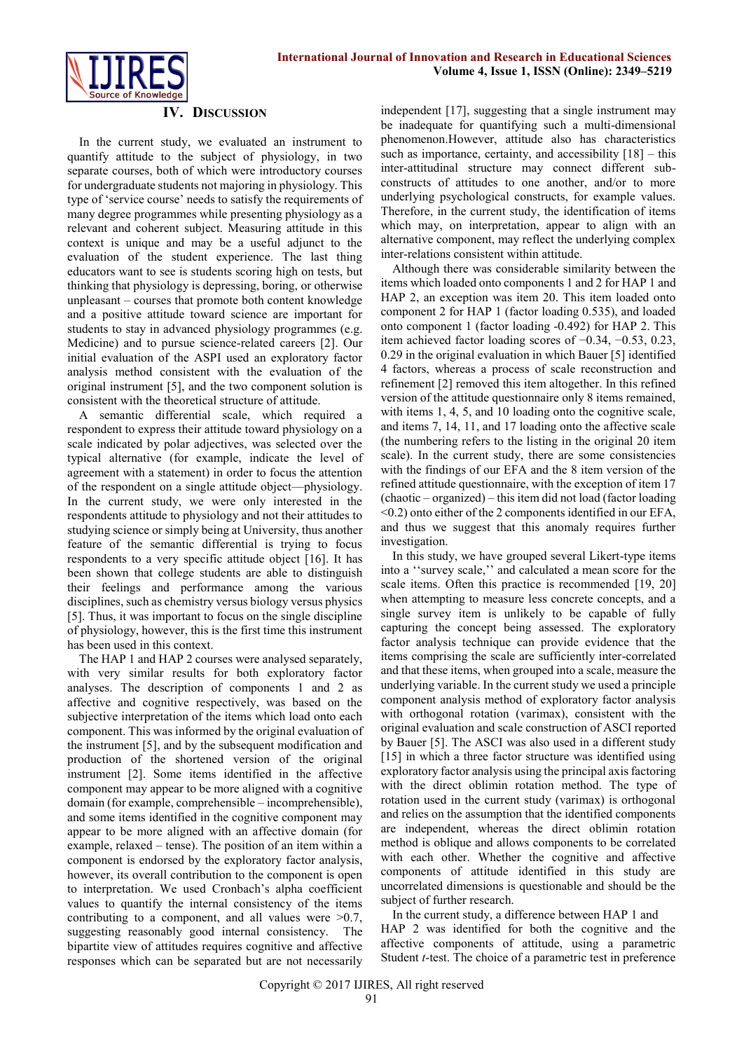

# **IV. DISCUSSION**

In the current study, we evaluated an instrument to quantify attitude to the subject of physiology, in two separate courses, both of which were introductory courses for undergraduate students not majoring in physiology. This type of 'service course' needs to satisfy the requirements of many degree programmes while presenting physiology as a relevant and coherent subject. Measuring attitude in this context is unique and may be a useful adjunct to the evaluation of the student experience. The last thing educators want to see is students scoring high on tests, but thinking that physiology is depressing, boring, or otherwise unpleasant – courses that promote both content knowledge and a positive attitude toward science are important for students to stay in advanced physiology programmes (e.g. Medicine) and to pursue science-related careers [2]. Our initial evaluation of the ASPI used an exploratory factor analysis method consistent with the evaluation of the original instrument [5], and the two component solution is consistent with the theoretical structure of attitude.

A semantic differential scale, which required a respondent to express their attitude toward physiology on a scale indicated by polar adjectives, was selected over the typical alternative (for example, indicate the level of agreement with a statement) in order to focus the attention of the respondent on a single attitude object—physiology. In the current study, we were only interested in the respondents attitude to physiology and not their attitudes to studying science or simply being at University, thus another feature of the semantic differential is trying to focus respondents to a very specific attitude object [16]. It has been shown that college students are able to distinguish their feelings and performance among the various disciplines, such as chemistry versus biology versus physics [5]. Thus, it was important to focus on the single discipline of physiology, however, this is the first time this instrument has been used in this context.

The HAP 1 and HAP 2 courses were analysed separately, with very similar results for both exploratory factor analyses. The description of components 1 and 2 as affective and cognitive respectively, was based on the subjective interpretation of the items which load onto each component. This was informed by the original evaluation of the instrument [5], and by the subsequent modification and production of the shortened version of the original instrument [2]. Some items identified in the affective component may appear to be more aligned with a cognitive domain (for example, comprehensible – incomprehensible), and some items identified in the cognitive component may appear to be more aligned with an affective domain (for example, relaxed – tense). The position of an item within a component is endorsed by the exploratory factor analysis, however, its overall contribution to the component is open to interpretation. We used Cronbach's alpha coefficient values to quantify the internal consistency of the items contributing to a component, and all values were  $>0.7$ , suggesting reasonably good internal consistency. The bipartite view of attitudes requires cognitive and affective responses which can be separated but are not necessarily

independent [17], suggesting that a single instrument may be inadequate for quantifying such a multi-dimensional phenomenon.However, attitude also has characteristics such as importance, certainty, and accessibility  $[18]$  – this inter-attitudinal structure may connect different subconstructs of attitudes to one another, and/or to more underlying psychological constructs, for example values. Therefore, in the current study, the identification of items which may, on interpretation, appear to align with an alternative component, may reflect the underlying complex inter-relations consistent within attitude.

Although there was considerable similarity between the items which loaded onto components 1 and 2 for HAP 1 and HAP 2, an exception was item 20. This item loaded onto component 2 for HAP 1 (factor loading 0.535), and loaded onto component 1 (factor loading -0.492) for HAP 2. This item achieved factor loading scores of −0.34, −0.53, 0.23, 0.29 in the original evaluation in which Bauer [5] identified 4 factors, whereas a process of scale reconstruction and refinement [2] removed this item altogether. In this refined version of the attitude questionnaire only 8 items remained, with items 1, 4, 5, and 10 loading onto the cognitive scale, and items 7, 14, 11, and 17 loading onto the affective scale (the numbering refers to the listing in the original 20 item scale). In the current study, there are some consistencies with the findings of our EFA and the 8 item version of the refined attitude questionnaire, with the exception of item 17 (chaotic – organized) – this item did not load (factor loading <0.2) onto either of the 2 components identified in our EFA, and thus we suggest that this anomaly requires further investigation.

In this study, we have grouped several Likert-type items into a ''survey scale,'' and calculated a mean score for the scale items. Often this practice is recommended [19, 20] when attempting to measure less concrete concepts, and a single survey item is unlikely to be capable of fully capturing the concept being assessed. The exploratory factor analysis technique can provide evidence that the items comprising the scale are sufficiently inter-correlated and that these items, when grouped into a scale, measure the underlying variable. In the current study we used a principle component analysis method of exploratory factor analysis with orthogonal rotation (varimax), consistent with the original evaluation and scale construction of ASCI reported by Bauer [5]. The ASCI was also used in a different study [15] in which a three factor structure was identified using exploratory factor analysis using the principal axis factoring with the direct oblimin rotation method. The type of rotation used in the current study (varimax) is orthogonal and relies on the assumption that the identified components are independent, whereas the direct oblimin rotation method is oblique and allows components to be correlated with each other. Whether the cognitive and affective components of attitude identified in this study are uncorrelated dimensions is questionable and should be the subject of further research.

In the current study, a difference between HAP 1 and HAP 2 was identified for both the cognitive and the affective components of attitude, using a parametric Student *t*-test. The choice of a parametric test in preference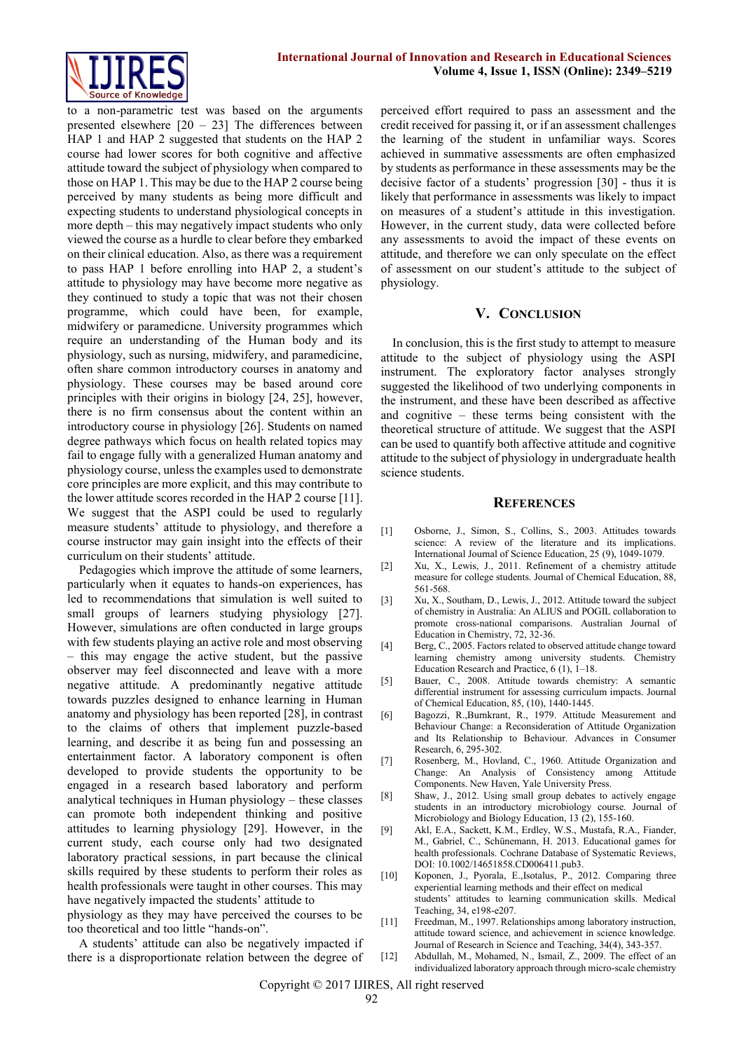

to a non-parametric test was based on the arguments presented elsewhere [20 – 23] The differences between HAP 1 and HAP 2 suggested that students on the HAP 2 course had lower scores for both cognitive and affective attitude toward the subject of physiology when compared to those on HAP 1. This may be due to the HAP 2 course being perceived by many students as being more difficult and expecting students to understand physiological concepts in more depth – this may negatively impact students who only viewed the course as a hurdle to clear before they embarked on their clinical education. Also, as there was a requirement to pass HAP 1 before enrolling into HAP 2, a student's attitude to physiology may have become more negative as they continued to study a topic that was not their chosen programme, which could have been, for example, midwifery or paramedicne. University programmes which require an understanding of the Human body and its physiology, such as nursing, midwifery, and paramedicine, often share common introductory courses in anatomy and physiology. These courses may be based around core principles with their origins in biology [24, 25], however, there is no firm consensus about the content within an introductory course in physiology [26]. Students on named degree pathways which focus on health related topics may fail to engage fully with a generalized Human anatomy and physiology course, unless the examples used to demonstrate core principles are more explicit, and this may contribute to the lower attitude scores recorded in the HAP 2 course [11]. We suggest that the ASPI could be used to regularly measure students' attitude to physiology, and therefore a course instructor may gain insight into the effects of their curriculum on their students' attitude.

Pedagogies which improve the attitude of some learners, particularly when it equates to hands-on experiences, has led to recommendations that simulation is well suited to small groups of learners studying physiology [27]. However, simulations are often conducted in large groups with few students playing an active role and most observing – this may engage the active student, but the passive observer may feel disconnected and leave with a more negative attitude. A predominantly negative attitude towards puzzles designed to enhance learning in Human anatomy and physiology has been reported [28], in contrast to the claims of others that implement puzzle-based learning, and describe it as being fun and possessing an entertainment factor. A laboratory component is often developed to provide students the opportunity to be engaged in a research based laboratory and perform analytical techniques in Human physiology – these classes can promote both independent thinking and positive attitudes to learning physiology [29]. However, in the current study, each course only had two designated laboratory practical sessions, in part because the clinical skills required by these students to perform their roles as health professionals were taught in other courses. This may have negatively impacted the students' attitude to

physiology as they may have perceived the courses to be too theoretical and too little "hands-on".

A students' attitude can also be negatively impacted if there is a disproportionate relation between the degree of perceived effort required to pass an assessment and the credit received for passing it, or if an assessment challenges the learning of the student in unfamiliar ways. Scores achieved in summative assessments are often emphasized by students as performance in these assessments may be the decisive factor of a students' progression [30] - thus it is likely that performance in assessments was likely to impact on measures of a student's attitude in this investigation. However, in the current study, data were collected before any assessments to avoid the impact of these events on attitude, and therefore we can only speculate on the effect of assessment on our student's attitude to the subject of physiology.

# **V. CONCLUSION**

In conclusion, this is the first study to attempt to measure attitude to the subject of physiology using the ASPI instrument. The exploratory factor analyses strongly suggested the likelihood of two underlying components in the instrument, and these have been described as affective and cognitive – these terms being consistent with the theoretical structure of attitude. We suggest that the ASPI can be used to quantify both affective attitude and cognitive attitude to the subject of physiology in undergraduate health science students.

#### **REFERENCES**

- [1] Osborne, J., Simon, S., Collins, S., 2003. Attitudes towards science: A review of the literature and its implications. International Journal of Science Education, 25 (9), 1049-1079.
- [2] Xu, X., Lewis, J., 2011. Refinement of a chemistry attitude measure for college students. Journal of Chemical Education, 88, 561-568.
- [3] Xu, X., Southam, D., Lewis, J., 2012. Attitude toward the subject of chemistry in Australia: An ALIUS and POGIL collaboration to promote cross-national comparisons. Australian Journal of Education in Chemistry, 72, 32-36.
- [4] Berg, C., 2005. Factors related to observed attitude change toward learning chemistry among university students. Chemistry Education Research and Practice, 6 (1), 1–18.
- [5] Bauer, C., 2008. Attitude towards chemistry: A semantic differential instrument for assessing curriculum impacts. Journal of Chemical Education, 85, (10), 1440-1445.
- [6] Bagozzi, R.,Burnkrant, R., 1979. Attitude Measurement and Behaviour Change: a Reconsideration of Attitude Organization and Its Relationship to Behaviour. Advances in Consumer Research, 6, 295-302.
- [7] Rosenberg, M., Hovland, C., 1960. Attitude Organization and Change: An Analysis of Consistency among Attitude Components. New Haven, Yale University Press.
- [8] Shaw, J., 2012. Using small group debates to actively engage students in an introductory microbiology course. Journal of Microbiology and Biology Education, 13 (2), 155-160.
- [9] Akl, E.A., Sackett, K.M., Erdley, W.S., Mustafa, R.A., Fiander, M., Gabriel, C., Schünemann, H. 2013. Educational games for health professionals. Cochrane Database of Systematic Reviews, DOI: 10.1002/14651858.CD006411.pub3.
- [10] Koponen, J., Pyorala, E.,Isotalus, P., 2012. Comparing three experiential learning methods and their effect on medical students' attitudes to learning communication skills. Medical Teaching, 34, e198-e207.
- [11] Freedman, M., 1997. Relationships among laboratory instruction, attitude toward science, and achievement in science knowledge. Journal of Research in Science and Teaching, 34(4), 343-357.
- [12] Abdullah, M., Mohamed, N., Ismail, Z., 2009. The effect of an individualized laboratory approach through micro-scale chemistry